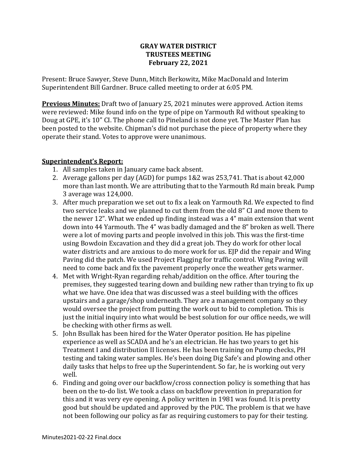#### **GRAY WATER DISTRICT TRUSTEES MEETING February 22, 2021**

Present: Bruce Sawyer, Steve Dunn, Mitch Berkowitz, Mike MacDonald and Interim Superintendent Bill Gardner. Bruce called meeting to order at 6:05 PM.

**Previous Minutes:** Draft two of January 25, 2021 minutes were approved. Action items were reviewed: Mike found info on the type of pipe on Yarmouth Rd without speaking to Doug at GPE, it's 10" CI. The phone call to Pineland is not done yet. The Master Plan has been posted to the website. Chipman's did not purchase the piece of property where they operate their stand. Votes to approve were unanimous.

#### **Superintendent's Report:**

- 1. All samples taken in January came back absent.
- 2. Average gallons per day (AGD) for pumps 1&2 was 253,741. That is about 42,000 more than last month. We are attributing that to the Yarmouth Rd main break. Pump 3 average was 124,000.
- 3. After much preparation we set out to fix a leak on Yarmouth Rd. We expected to find two service leaks and we planned to cut them from the old 8" CI and move them to the newer 12". What we ended up finding instead was a 4" main extension that went down into 44 Yarmouth. The 4" was badly damaged and the 8" broken as well. There were a lot of moving parts and people involved in this job. This was the first-time using Bowdoin Excavation and they did a great job. They do work for other local water districts and are anxious to do more work for us. EJP did the repair and Wing Paving did the patch. We used Project Flagging for traffic control. Wing Paving will need to come back and fix the pavement properly once the weather gets warmer.
- 4. Met with Wright-Ryan regarding rehab/addition on the office. After touring the premises, they suggested tearing down and building new rather than trying to fix up what we have. One idea that was discussed was a steel building with the offices upstairs and a garage/shop underneath. They are a management company so they would oversee the project from putting the work out to bid to completion. This is just the initial inquiry into what would be best solution for our office needs, we will be checking with other firms as well.
- 5. John Bsullak has been hired for the Water Operator position. He has pipeline experience as well as SCADA and he's an electrician. He has two years to get his Treatment I and distribution II licenses. He has been training on Pump checks, PH testing and taking water samples. He's been doing Dig Safe's and plowing and other daily tasks that helps to free up the Superintendent. So far, he is working out very well.
- 6. Finding and going over our backflow/cross connection policy is something that has been on the to-do list. We took a class on backflow prevention in preparation for this and it was very eye opening. A policy written in 1981 was found. It is pretty good but should be updated and approved by the PUC. The problem is that we have not been following our policy as far as requiring customers to pay for their testing.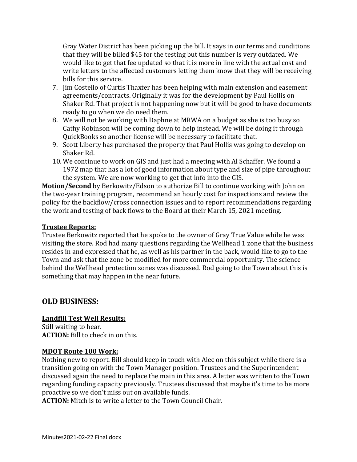Gray Water District has been picking up the bill. It says in our terms and conditions that they will be billed \$45 for the testing but this number is very outdated. We would like to get that fee updated so that it is more in line with the actual cost and write letters to the affected customers letting them know that they will be receiving bills for this service.

- 7. Jim Costello of Curtis Thaxter has been helping with main extension and easement agreements/contracts. Originally it was for the development by Paul Hollis on Shaker Rd. That project is not happening now but it will be good to have documents ready to go when we do need them.
- 8. We will not be working with Daphne at MRWA on a budget as she is too busy so Cathy Robinson will be coming down to help instead. We will be doing it through QuickBooks so another license will be necessary to facilitate that.
- 9. Scott Liberty has purchased the property that Paul Hollis was going to develop on Shaker Rd.
- 10. We continue to work on GIS and just had a meeting with Al Schaffer. We found a 1972 map that has a lot of good information about type and size of pipe throughout the system. We are now working to get that info into the GIS.

**Motion/Second** by Berkowitz/Edson to authorize Bill to continue working with John on the two-year training program, recommend an hourly cost for inspections and review the policy for the backflow/cross connection issues and to report recommendations regarding the work and testing of back flows to the Board at their March 15, 2021 meeting.

#### **Trustee Reports:**

Trustee Berkowitz reported that he spoke to the owner of Gray True Value while he was visiting the store. Rod had many questions regarding the Wellhead 1 zone that the business resides in and expressed that he, as well as his partner in the back, would like to go to the Town and ask that the zone be modified for more commercial opportunity. The science behind the Wellhead protection zones was discussed. Rod going to the Town about this is something that may happen in the near future.

# **OLD BUSINESS:**

## **Landfill Test Well Results:**

Still waiting to hear. **ACTION:** Bill to check in on this.

#### **MDOT Route 100 Work:**

Nothing new to report. Bill should keep in touch with Alec on this subject while there is a transition going on with the Town Manager position. Trustees and the Superintendent discussed again the need to replace the main in this area. A letter was written to the Town regarding funding capacity previously. Trustees discussed that maybe it's time to be more proactive so we don't miss out on available funds.

**ACTION:** Mitch is to write a letter to the Town Council Chair.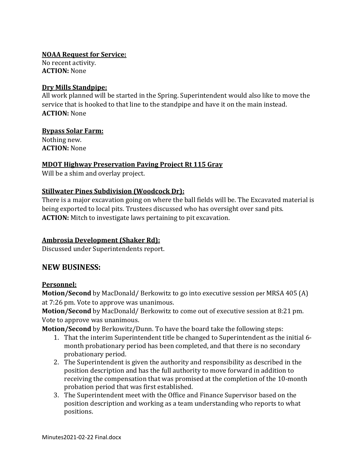**NOAA Request for Service:** No recent activity.

**ACTION:** None

#### **Dry Mills Standpipe:**

All work planned will be started in the Spring. Superintendent would also like to move the service that is hooked to that line to the standpipe and have it on the main instead. **ACTION:** None

#### **Bypass Solar Farm:**

Nothing new. **ACTION:** None

## **MDOT Highway Preservation Paving Project Rt 115 Gray**

Will be a shim and overlay project.

## **Stillwater Pines Subdivision (Woodcock Dr):**

There is a major excavation going on where the ball fields will be. The Excavated material is being exported to local pits. Trustees discussed who has oversight over sand pits. **ACTION:** Mitch to investigate laws pertaining to pit excavation.

# **Ambrosia Development (Shaker Rd):**

Discussed under Superintendents report.

# **NEW BUSINESS:**

## **Personnel:**

**Motion/Second** by MacDonald/ Berkowitz to go into executive session per MRSA 405 (A) at 7:26 pm. Vote to approve was unanimous.

**Motion/Second** by MacDonald/ Berkowitz to come out of executive session at 8:21 pm. Vote to approve was unanimous.

**Motion/Second** by Berkowitz/Dunn. To have the board take the following steps:

- 1. That the interim Superintendent title be changed to Superintendent as the initial 6 month probationary period has been completed, and that there is no secondary probationary period.
- 2. The Superintendent is given the authority and responsibility as described in the position description and has the full authority to move forward in addition to receiving the compensation that was promised at the completion of the 10-month probation period that was first established.
- 3. The Superintendent meet with the Office and Finance Supervisor based on the position description and working as a team understanding who reports to what positions.